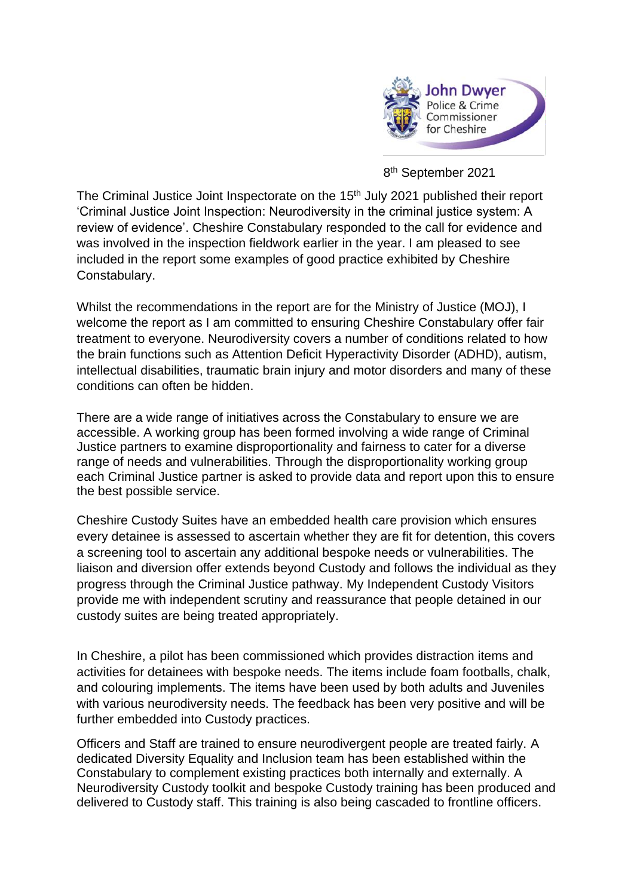

8 th September 2021

The Criminal Justice Joint Inspectorate on the 15<sup>th</sup> July 2021 published their report 'Criminal Justice Joint Inspection: Neurodiversity in the criminal justice system: A review of evidence'. Cheshire Constabulary responded to the call for evidence and was involved in the inspection fieldwork earlier in the year. I am pleased to see included in the report some examples of good practice exhibited by Cheshire Constabulary.

Whilst the recommendations in the report are for the Ministry of Justice (MOJ), I welcome the report as I am committed to ensuring Cheshire Constabulary offer fair treatment to everyone. Neurodiversity covers a number of conditions related to how the brain functions such as Attention Deficit Hyperactivity Disorder (ADHD), autism, intellectual disabilities, traumatic brain injury and motor disorders and many of these conditions can often be hidden.

There are a wide range of initiatives across the Constabulary to ensure we are accessible. A working group has been formed involving a wide range of Criminal Justice partners to examine disproportionality and fairness to cater for a diverse range of needs and vulnerabilities. Through the disproportionality working group each Criminal Justice partner is asked to provide data and report upon this to ensure the best possible service.

Cheshire Custody Suites have an embedded health care provision which ensures every detainee is assessed to ascertain whether they are fit for detention, this covers a screening tool to ascertain any additional bespoke needs or vulnerabilities. The liaison and diversion offer extends beyond Custody and follows the individual as they progress through the Criminal Justice pathway. My Independent Custody Visitors provide me with independent scrutiny and reassurance that people detained in our custody suites are being treated appropriately.

In Cheshire, a pilot has been commissioned which provides distraction items and activities for detainees with bespoke needs. The items include foam footballs, chalk, and colouring implements. The items have been used by both adults and Juveniles with various neurodiversity needs. The feedback has been very positive and will be further embedded into Custody practices.

Officers and Staff are trained to ensure neurodivergent people are treated fairly. A dedicated Diversity Equality and Inclusion team has been established within the Constabulary to complement existing practices both internally and externally. A Neurodiversity Custody toolkit and bespoke Custody training has been produced and delivered to Custody staff. This training is also being cascaded to frontline officers.